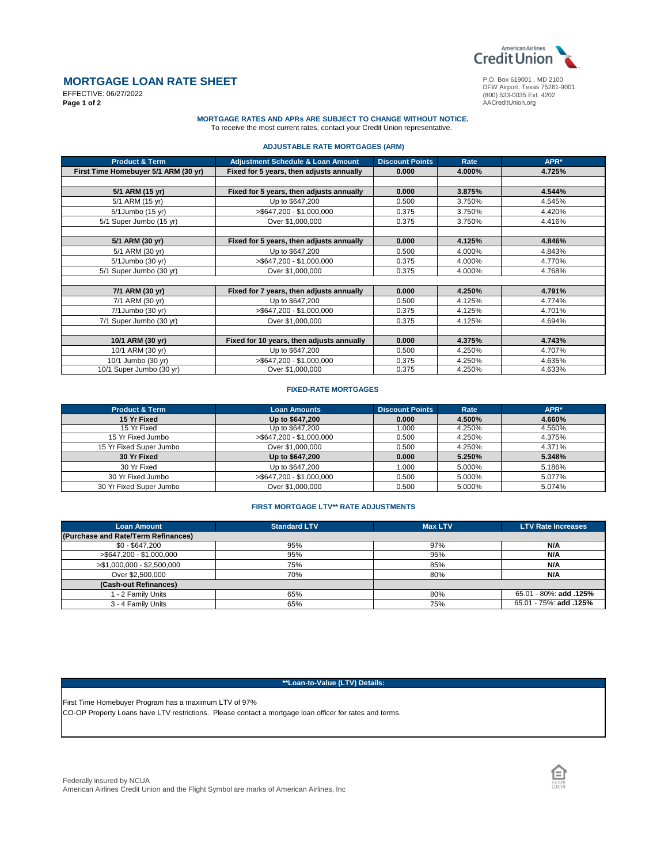

DFW Airport, Texas 75261-9001 (800) 533-0035 Ext. 4202

AACreditUnion.org

# **MORTGAGE LOAN RATE SHEET**

EFFECTIVE: 06/27/2022 **Page 1 of 2**

## **MORTGAGE RATES AND APRs ARE SUBJECT TO CHANGE WITHOUT NOTICE.**  To receive the most current rates, contact your Credit Union representative.

**ADJUSTABLE RATE MORTGAGES (ARM)**

| <b>Product &amp; Term</b>            | <b>Adjustment Schedule &amp; Loan Amount</b> | <b>Discount Points</b> | Rate   | APR*   |
|--------------------------------------|----------------------------------------------|------------------------|--------|--------|
| First Time Homebuyer 5/1 ARM (30 yr) | Fixed for 5 years, then adjusts annually     | 0.000                  | 4.000% | 4.725% |
|                                      |                                              |                        |        |        |
| 5/1 ARM (15 yr)                      | Fixed for 5 years, then adjusts annually     | 0.000                  | 3.875% | 4.544% |
| 5/1 ARM (15 yr)                      | Up to \$647,200                              | 0.500                  | 3.750% | 4.545% |
| 5/1 Jumbo (15 yr)                    | >\$647,200 - \$1,000,000                     | 0.375                  | 3.750% | 4.420% |
| 5/1 Super Jumbo (15 yr)              | Over \$1,000,000                             | 0.375                  | 3.750% | 4.416% |
|                                      |                                              |                        |        |        |
| 5/1 ARM (30 yr)                      | Fixed for 5 years, then adjusts annually     | 0.000                  | 4.125% | 4.846% |
| 5/1 ARM (30 yr)                      | Up to \$647,200                              | 0.500                  | 4.000% | 4.843% |
| 5/1Jumbo (30 yr)                     | >\$647,200 - \$1,000,000                     | 0.375                  | 4.000% | 4.770% |
| 5/1 Super Jumbo (30 yr)              | Over \$1,000,000                             | 0.375                  | 4.000% | 4.768% |
|                                      |                                              |                        |        |        |
| 7/1 ARM (30 yr)                      | Fixed for 7 years, then adjusts annually     | 0.000                  | 4.250% | 4.791% |
| 7/1 ARM (30 yr)                      | Up to \$647,200                              | 0.500                  | 4.125% | 4.774% |
| 7/1Jumbo (30 yr)                     | >\$647,200 - \$1,000,000                     | 0.375                  | 4.125% | 4.701% |
| 7/1 Super Jumbo (30 yr)              | Over \$1,000,000                             | 0.375                  | 4.125% | 4.694% |
|                                      |                                              |                        |        |        |
| 10/1 ARM (30 yr)                     | Fixed for 10 years, then adjusts annually    | 0.000                  | 4.375% | 4.743% |
| 10/1 ARM (30 yr)                     | Up to \$647,200                              | 0.500                  | 4.250% | 4.707% |
| 10/1 Jumbo (30 yr)                   | $> $647.200 - $1.000.000$                    | 0.375                  | 4.250% | 4.635% |
| 10/1 Super Jumbo (30 yr)             | Over \$1,000,000                             | 0.375                  | 4.250% | 4.633% |

# **FIXED-RATE MORTGAGES**

| <b>Product &amp; Term</b> | <b>Loan Amounts</b>         | <b>Discount Points</b> | Rate   | APR*   |
|---------------------------|-----------------------------|------------------------|--------|--------|
| 15 Yr Fixed               | Up to \$647,200             | 0.000                  | 4.500% | 4.660% |
| 15 Yr Fixed               | Up to \$647,200             | 000.1                  | 4.250% | 4.560% |
| 15 Yr Fixed Jumbo         | $>$ \$647,200 - \$1,000,000 | 0.500                  | 4.250% | 4.375% |
| 15 Yr Fixed Super Jumbo   | Over \$1,000,000            | 0.500                  | 4.250% | 4.371% |
| 30 Yr Fixed               | Up to \$647,200             | 0.000                  | 5.250% | 5.348% |
| 30 Yr Fixed               | Up to \$647,200             | 1.000                  | 5.000% | 5.186% |
| 30 Yr Fixed Jumbo         | $>$ \$647,200 - \$1,000,000 | 0.500                  | 5.000% | 5.077% |
| 30 Yr Fixed Super Jumbo   | Over \$1,000,000            | 0.500                  | 5.000% | 5.074% |

## **FIRST MORTGAGE LTV\*\* RATE ADJUSTMENTS**

| <b>Loan Amount</b>                  | <b>Standard LTV</b> | <b>Max LTV</b> | <b>LTV Rate Increases</b> |
|-------------------------------------|---------------------|----------------|---------------------------|
| (Purchase and Rate/Term Refinances) |                     |                |                           |
| $$0 - $647,200$                     | 95%                 | 97%            | N/A                       |
| >\$647,200 - \$1,000,000            | 95%                 | 95%            | N/A                       |
| >\$1,000,000 - \$2,500,000          | 75%                 | 85%            | N/A                       |
| Over \$2,500,000                    | 70%                 | 80%            | N/A                       |
| (Cash-out Refinances)               |                     |                |                           |
| 1 - 2 Family Units                  | 65%                 | 80%            | 65.01 - 80%: add .125%    |
| 3 - 4 Family Units                  | 65%                 | 75%            | 65.01 - 75%: add .125%    |

# **\*\*Loan-to-Value (LTV) Details:**

CO-OP Property Loans have LTV restrictions. Please contact a mortgage loan officer for rates and terms. First Time Homebuyer Program has a maximum LTV of 97%